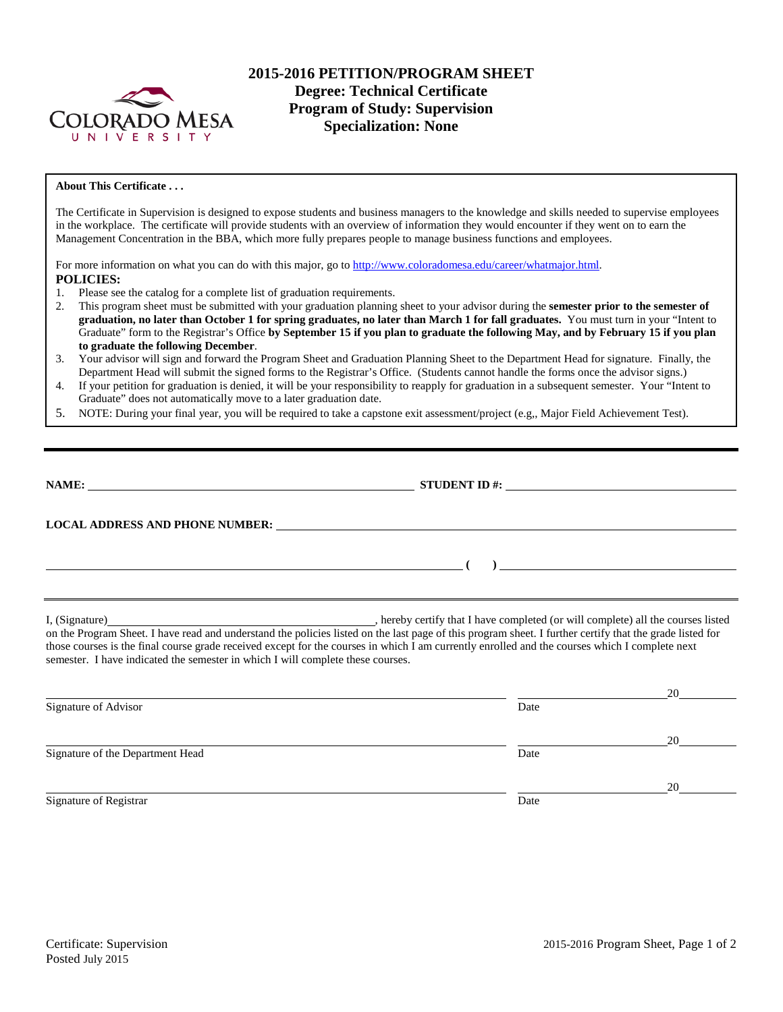

# **2015-2016 PETITION/PROGRAM SHEET Degree: Technical Certificate Program of Study: Supervision Specialization: None**

#### **About This Certificate . . .**

The Certificate in Supervision is designed to expose students and business managers to the knowledge and skills needed to supervise employees in the workplace. The certificate will provide students with an overview of information they would encounter if they went on to earn the Management Concentration in the BBA, which more fully prepares people to manage business functions and employees.

For more information on what you can do with this major, go to [http://www.coloradomesa.edu/career/whatmajor.html.](http://www.coloradomesa.edu/career/whatmajor.html) **POLICIES:**

- 1. Please see the catalog for a complete list of graduation requirements.
- 2. This program sheet must be submitted with your graduation planning sheet to your advisor during the **semester prior to the semester of graduation, no later than October 1 for spring graduates, no later than March 1 for fall graduates.** You must turn in your "Intent to Graduate" form to the Registrar's Office **by September 15 if you plan to graduate the following May, and by February 15 if you plan to graduate the following December**.
- 3. Your advisor will sign and forward the Program Sheet and Graduation Planning Sheet to the Department Head for signature. Finally, the Department Head will submit the signed forms to the Registrar's Office. (Students cannot handle the forms once the advisor signs.)
- 4. If your petition for graduation is denied, it will be your responsibility to reapply for graduation in a subsequent semester. Your "Intent to Graduate" does not automatically move to a later graduation date.
- 5. NOTE: During your final year, you will be required to take a capstone exit assessment/project (e.g,, Major Field Achievement Test).

| NAME:<br><u>a sa barang ang pagbabang nagpagpagpang nagpagpagpang nagpagpagpagpang nagpagpagpagpagpagpagpagpagpagpagpagpag</u> | STUDENT ID #: $\qquad \qquad$ |  |
|--------------------------------------------------------------------------------------------------------------------------------|-------------------------------|--|
| LOCAL ADDRESS AND PHONE NUMBER:                                                                                                |                               |  |
|                                                                                                                                |                               |  |

I, (Signature) , hereby certify that I have completed (or will complete) all the courses listed on the Program Sheet. I have read and understand the policies listed on the last page of this program sheet. I further certify that the grade listed for those courses is the final course grade received except for the courses in which I am currently enrolled and the courses which I complete next semester. I have indicated the semester in which I will complete these courses.

|                                  |      | 20 |
|----------------------------------|------|----|
| Signature of Advisor             | Date |    |
|                                  |      | 20 |
| Signature of the Department Head | Date |    |
|                                  |      | 20 |
| Signature of Registrar           | Date |    |